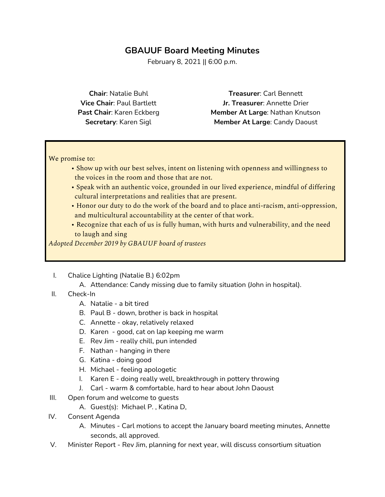## **GBAUUF Board Meeting Minutes**

February 8, 2021 || 6:00 p.m.

**Chair**: Natalie Buhl **Vice Chair**: Paul Bartlett **Past Chair**: Karen Eckberg **Secretary**: Karen Sigl

**Treasurer**: Carl Bennett **Jr. Treasurer**: Annette Drier **Member At Large**: Nathan Knutson **Member At Large**: Candy Daoust

We promise to:

- Show up with our best selves, intent on listening with openness and willingness to the voices in the room and those that are not.
- Speak with an authentic voice, grounded in our lived experience, mindful of differing cultural interpretations and realities that are present.
- Honor our duty to do the work of the board and to place anti-racism, anti-oppression, and multicultural accountability at the center of that work.
- Recognize that each of us is fully human, with hurts and vulnerability, and the need to laugh and sing

*Adopted December 2019 by GBAUUF board of trustees*

- I. Chalice Lighting (Natalie B.) 6:02pm
	- A. Attendance: Candy missing due to family situation (John in hospital).
- II. Check-In
	- A. Natalie a bit tired
	- B. Paul B down, brother is back in hospital
	- C. Annette okay, relatively relaxed
	- D. Karen good, cat on lap keeping me warm
	- E. Rev Jim really chill, pun intended
	- F. Nathan hanging in there
	- G. Katina doing good
	- H. Michael feeling apologetic
	- I. Karen E doing really well, breakthrough in pottery throwing
	- J. Carl warm & comfortable, hard to hear about John Daoust
- III. Open forum and welcome to quests
	- A. Guest(s): Michael P. , Katina D,
- IV. Consent Agenda
	- A. Minutes Carl motions to accept the January board meeting minutes, Annette seconds, all approved.
- V. Minister Report Rev Jim, planning for next year, will discuss consortium situation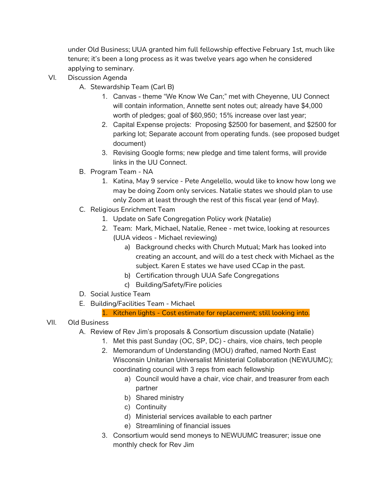under Old Business; UUA granted him full fellowship effective February 1st, much like tenure; it's been a long process as it was twelve years ago when he considered applying to seminary.

- VI. Discussion Agenda
	- A. Stewardship Team (Carl B)
		- 1. Canvas theme "We Know We Can;" met with Cheyenne, UU Connect will contain information, Annette sent notes out; already have \$4,000 worth of pledges; goal of \$60,950; 15% increase over last year;
		- 2. Capital Expense projects: Proposing \$2500 for basement, and \$2500 for parking lot; Separate account from operating funds. (see proposed budget document)
		- 3. Revising Google forms; new pledge and time talent forms, will provide links in the UU Connect.
	- B. Program Team NA
		- 1. Katina, May 9 service Pete Angelello, would like to know how long we may be doing Zoom only services. Natalie states we should plan to use only Zoom at least through the rest of this fiscal year (end of May).
	- C. Religious Enrichment Team
		- 1. Update on Safe Congregation Policy work (Natalie)
		- 2. Team: Mark, Michael, Natalie, Renee met twice, looking at resources (UUA videos - Michael reviewing)
			- a) Background checks with Church Mutual; Mark has looked into creating an account, and will do a test check with Michael as the subject. Karen E states we have used CCap in the past.
			- b) Certification through UUA Safe Congregations
			- c) Building/Safety/Fire policies
	- D. Social Justice Team
	- E. Building/Facilities Team Michael

#### 1. Kitchen lights - Cost estimate for replacement; still looking into.

### VII. Old Business

- A. Review of Rev Jim's proposals & Consortium discussion update (Natalie)
	- 1. Met this past Sunday (OC, SP, DC) chairs, vice chairs, tech people
	- 2. Memorandum of Understanding (MOU) drafted, named North East Wisconsin Unitarian Universalist Ministerial Collaboration (NEWUUMC); coordinating council with 3 reps from each fellowship
		- a) Council would have a chair, vice chair, and treasurer from each partner
		- b) Shared ministry
		- c) Continuity
		- d) Ministerial services available to each partner
		- e) Streamlining of financial issues
	- 3. Consortium would send moneys to NEWUUMC treasurer; issue one monthly check for Rev Jim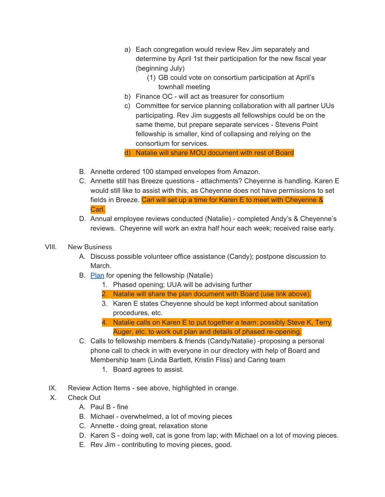- a) Each congregation would review Rev Jim separately and determine by April 1st their participation for the new fiscal year (beginning July)
	- (1) GB could vote on consortium participation at April's townhall meeting
- b) Finance OC will act as treasurer for consortium
- c) Committee for service planning collaboration with all partner UUs participating. Rev Jim suggests all fellowships could be on the same theme, but prepare separate services - Stevens Point fellowship is smaller, kind of collapsing and relying on the consortium for services.

d) Natalie will share MOU document with rest of Board

- B. Annette ordered 100 stamped envelopes from Amazon.
- C. Annette still has Breeze questions attachments? Cheyenne is handling. Karen E would still like to assist with this, as Cheyenne does not have permissions to set fields in Breeze. Carl will set up a time for Karen E to meet with Cheyenne & Carl.
- D. Annual employee reviews conducted (Natalie) completed Andy's & Cheyenne's reviews. Cheyenne will work an extra half hour each week; received raise early.
- VIII. New Business
	- A. Discuss possible volunteer office assistance (Candy); postpone discussion to March.
	- B. [Plan](https://docs.google.com/document/d/1jjAVhzDvin23smwmSYkm_0pwuSdywtMCz-zqo1NywgM/edit?usp=sharinghttps://docs.google.com/document/d/1jjAVhzDvin23smwmSYkm_0pwuSdywtMCz-zqo1NywgM/edit?usp=sharing) for opening the fellowship (Natalie)
		- 1. Phased opening; UUA will be advising further
		- 2. Natalie will share the plan document with Board (use link above).
		- 3. Karen E states Cheyenne should be kept informed about sanitation procedures, etc.
		- 4. Natalie calls on Karen E to put together a team: possibly Steve K, Terry Auger, etc. to work out plan and details of phased re-opening.
	- C. Calls to fellowship members & friends (Candy/Natalie) -proposing a personal phone call to check in with everyone in our directory with help of Board and Membership team (Linda Bartlett, Kristin Fliss) and Caring team
		- 1. Board agrees to assist.
	- IX. Review Action Items see above, highlighted in orange.
	- X. Check Out
		- A. Paul B fine
		- B. Michael overwhelmed, a lot of moving pieces
		- C. Annette doing great, relaxation stone
		- D. Karen S doing well, cat is gone from lap; with Michael on a lot of moving pieces.
		- E. Rev Jim contributing to moving pieces, good.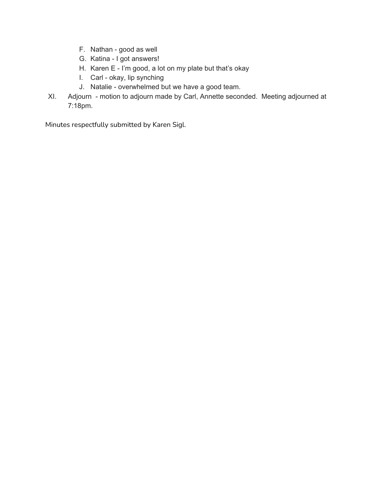- F. Nathan good as well
- G. Katina I got answers!
- H. Karen E I'm good, a lot on my plate but that's okay
- I. Carl okay, lip synching
- J. Natalie overwhelmed but we have a good team.
- XI. Adjourn motion to adjourn made by Carl, Annette seconded. Meeting adjourned at 7:18pm.

Minutes respectfully submitted by Karen Sigl.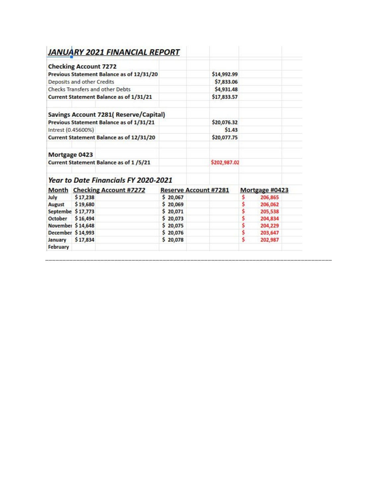| <b>Checking Account 7272</b>                   |                       |                |
|------------------------------------------------|-----------------------|----------------|
| Previous Statement Balance as of 12/31/20      | \$14,992.99           |                |
| Deposits and other Credits                     | \$7,833.06            |                |
| <b>Checks Transfers and other Debts</b>        | \$4,931.48            |                |
| <b>Current Statement Balance as of 1/31/21</b> | \$17,833.57           |                |
| Savings Account 7281(Reserve/Capital)          |                       |                |
| Previous Statement Balance as of 1/31/21       | \$20,076.32           |                |
| Intrest (0.45600%)                             | \$1.43                |                |
| Current Statement Balance as of 12/31/20       | \$20,077.75           |                |
| Mortgage 0423                                  |                       |                |
| <b>Current Statement Balance as of 1/5/21</b>  | \$202,987.02          |                |
| <b>Year to Date Financials FY 2020-2021</b>    |                       |                |
| Month Checking Account #7272                   | Reserve Account #7281 | Mortgage #0423 |

|                   | <b>Month</b> Checking Account #7272 | <b>Reserve Account #7281</b> | Mortgage #0423 |  |
|-------------------|-------------------------------------|------------------------------|----------------|--|
| July              | \$17,238                            | \$20,067                     | 206,865        |  |
| <b>August</b>     | \$19,680                            | \$20,069                     | 206,062        |  |
| Septembe \$17,773 |                                     | \$20,071                     | 205,538        |  |
| October \$16,494  |                                     | \$20,073                     | 204,834        |  |
| November \$14,648 |                                     | \$20,075                     | 204,229        |  |
| December \$14,993 |                                     | \$20,076                     | 203,647        |  |
| January           | \$17,834                            | \$20,078                     | 202,987        |  |
| February          |                                     |                              |                |  |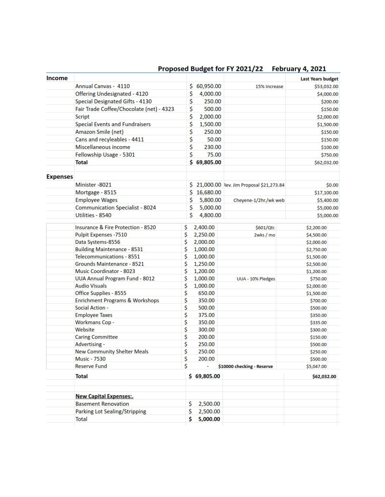|  |  | Proposed Budget for FY 2021/22 February 4, 2021 |  |
|--|--|-------------------------------------------------|--|
|--|--|-------------------------------------------------|--|

| Income          |                                            |                 |                                         | <b>Last Years budget</b> |
|-----------------|--------------------------------------------|-----------------|-----------------------------------------|--------------------------|
|                 | Annual Canvas - 4110                       | 60,950.00<br>s  | 15% increase                            | \$53,032.00              |
|                 | Offering Undesignated - 4120               | \$<br>4,000.00  |                                         | \$4,000.00               |
|                 | Special Designated Gifts - 4130            | \$<br>250.00    |                                         | \$200.00                 |
|                 | Fair Trade Coffee/Chocolate (net) - 4323   | \$<br>500.00    |                                         | \$150.00                 |
|                 | Script                                     | \$<br>2,000.00  |                                         | \$2,000.00               |
|                 | <b>Special Events and Fundraisers</b>      | \$<br>1,500.00  |                                         | \$1,500.00               |
|                 | <b>Amazon Smile (net)</b>                  | \$<br>250.00    |                                         | \$150.00                 |
|                 | Cans and recyleables - 4411                | \$<br>50.00     |                                         | \$150.00                 |
|                 | Miscellaneous income                       | \$<br>230.00    |                                         | \$100.00                 |
|                 | Fellowship Usage - 5301                    | \$<br>75.00     |                                         | \$750.00                 |
|                 | <b>Total</b>                               | \$69,805.00     |                                         | \$62,032.00              |
|                 |                                            |                 |                                         |                          |
| <b>Expenses</b> |                                            |                 |                                         |                          |
|                 | Minister-8021                              | S               | 21,000.00 Rev. Jim Proposal \$21,273.84 | \$0.00                   |
|                 | Mortgage - 8515                            | \$<br>16,680.00 |                                         | \$17,100.00              |
|                 | <b>Employee Wages</b>                      | \$<br>5,800.00  | Cheyene-1/2hr./wk web                   | \$5,400.00               |
|                 | <b>Communication Specialist - 8024</b>     | \$<br>5,000.00  |                                         | \$5,000.00               |
|                 | Utilities - 8540                           | \$<br>4,800.00  |                                         | \$5,000.00               |
|                 | Insurance & Fire Protection - 8520         | \$<br>2,400.00  | \$601/Qtr.                              | \$2,200.00               |
|                 | <b>Pulpit Expenses - 7510</b>              | \$<br>2,250.00  | 2wks/mo                                 | \$4,500.00               |
|                 | Data Systems-8556                          | \$<br>2,000.00  |                                         | \$2,000.00               |
|                 | <b>Building Maintenance - 8531</b>         | \$<br>1,000.00  |                                         | \$2,750.00               |
|                 | Telecommunications - 8551                  | \$<br>1,000.00  |                                         | \$1,500.00               |
|                 | Grounds Maintenance - 8521                 | \$<br>1,250.00  |                                         | \$2,500.00               |
|                 | <b>Music Coordinator - 8023</b>            | \$<br>1,200.00  |                                         | \$1,200.00               |
|                 | <b>UUA Annual Program Fund - 8012</b>      | \$<br>1,000.00  | UUA - 10% Pledges                       | \$750.00                 |
|                 | <b>Audio Visuals</b>                       | \$<br>1,000.00  |                                         | \$2,000.00               |
|                 | Office Supplies - 8555                     | \$<br>650.00    |                                         | \$1,500.00               |
|                 | <b>Enrichment Programs &amp; Workshops</b> | \$<br>350.00    |                                         | \$700.00                 |
|                 | Social Action -                            | \$<br>500.00    |                                         | \$500.00                 |
|                 | <b>Employee Taxes</b>                      | \$<br>375.00    |                                         | \$350.00                 |
|                 | Workmans Cop -                             | \$<br>350.00    |                                         | \$335.00                 |
|                 | Website                                    | \$<br>300.00    |                                         | \$300.00                 |
|                 | <b>Caring Committee</b>                    | \$<br>200.00    |                                         | \$150.00                 |
|                 | Advertising -                              | \$<br>250.00    |                                         | \$500.00                 |
|                 | <b>New Community Shelter Meals</b>         | \$<br>250.00    |                                         | \$250.00                 |
|                 | <b>Music - 7530</b>                        | \$<br>200.00    |                                         | \$500.00                 |
|                 | <b>Reserve Fund</b>                        | \$              | \$10000 checking - Reserve              | \$5,047.00               |
|                 | <b>Total</b>                               | \$69,805.00     |                                         | \$62,032.00              |
|                 |                                            |                 |                                         |                          |
|                 | <b>New Capital Expenses:.</b>              |                 |                                         |                          |
|                 | <b>Basement Renovation</b>                 | \$<br>2,500.00  |                                         |                          |
|                 | Parking Lot Sealing/Stripping              | \$<br>2,500.00  |                                         |                          |
|                 | Total                                      | 5,000.00<br>\$  |                                         |                          |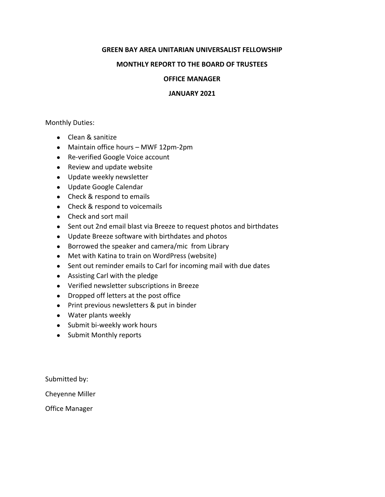#### **GREEN BAY AREA UNITARIAN UNIVERSALIST FELLOWSHIP**

#### **MONTHLY REPORT TO THE BOARD OF TRUSTEES**

#### **OFFICE MANAGER**

#### **JANUARY 2021**

Monthly Duties:

- Clean & sanitize
- Maintain office hours MWF 12pm-2pm
- Re-verified Google Voice account
- Review and update website
- Update weekly newsletter
- Update Google Calendar
- Check & respond to emails
- Check & respond to voicemails
- Check and sort mail
- Sent out 2nd email blast via Breeze to request photos and birthdates
- Update Breeze software with birthdates and photos
- Borrowed the speaker and camera/mic from Library
- Met with Katina to train on WordPress (website)
- Sent out reminder emails to Carl for incoming mail with due dates
- Assisting Carl with the pledge
- Verified newsletter subscriptions in Breeze
- Dropped off letters at the post office
- Print previous newsletters & put in binder
- Water plants weekly
- Submit bi-weekly work hours
- Submit Monthly reports

Submitted by:

Cheyenne Miller

Office Manager